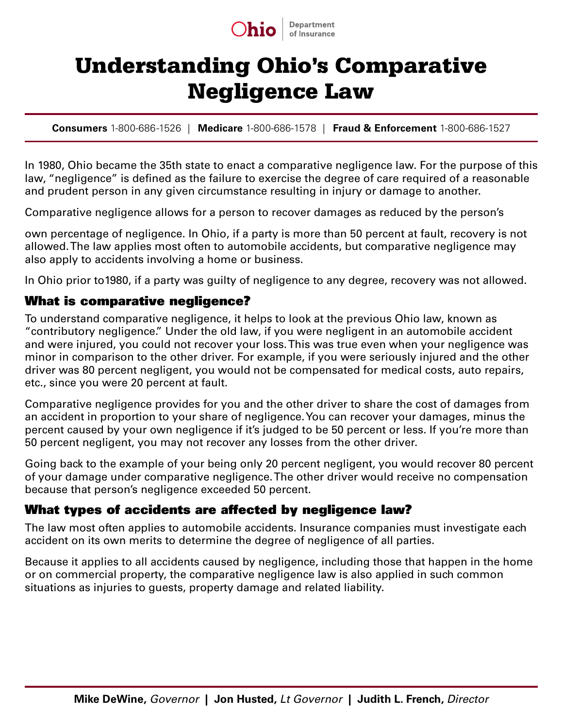

# Understanding Ohio's Comparative Negligence Law

**Consumers** 1-800-686-1526 | **Medicare** 1-800-686-1578 | **Fraud & Enforcement** 1-800-686-1527

In 1980, Ohio became the 35th state to enact a comparative negligence law. For the purpose of this law, "negligence" is defined as the failure to exercise the degree of care required of a reasonable and prudent person in any given circumstance resulting in injury or damage to another.

Comparative negligence allows for a person to recover damages as reduced by the person's

own percentage of negligence. In Ohio, if a party is more than 50 percent at fault, recovery is not allowed. The law applies most often to automobile accidents, but comparative negligence may also apply to accidents involving a home or business.

In Ohio prior to1980, if a party was guilty of negligence to any degree, recovery was not allowed.

#### What is comparative negligence?

To understand comparative negligence, it helps to look at the previous Ohio law, known as "contributory negligence." Under the old law, if you were negligent in an automobile accident and were injured, you could not recover your loss. This was true even when your negligence was minor in comparison to the other driver. For example, if you were seriously injured and the other driver was 80 percent negligent, you would not be compensated for medical costs, auto repairs, etc., since you were 20 percent at fault.

Comparative negligence provides for you and the other driver to share the cost of damages from an accident in proportion to your share of negligence. You can recover your damages, minus the percent caused by your own negligence if it's judged to be 50 percent or less. If you're more than 50 percent negligent, you may not recover any losses from the other driver.

Going back to the example of your being only 20 percent negligent, you would recover 80 percent of your damage under comparative negligence. The other driver would receive no compensation because that person's negligence exceeded 50 percent.

#### What types of accidents are affected by negligence law?

The law most often applies to automobile accidents. Insurance companies must investigate each accident on its own merits to determine the degree of negligence of all parties.

Because it applies to all accidents caused by negligence, including those that happen in the home or on commercial property, the comparative negligence law is also applied in such common situations as injuries to guests, property damage and related liability.